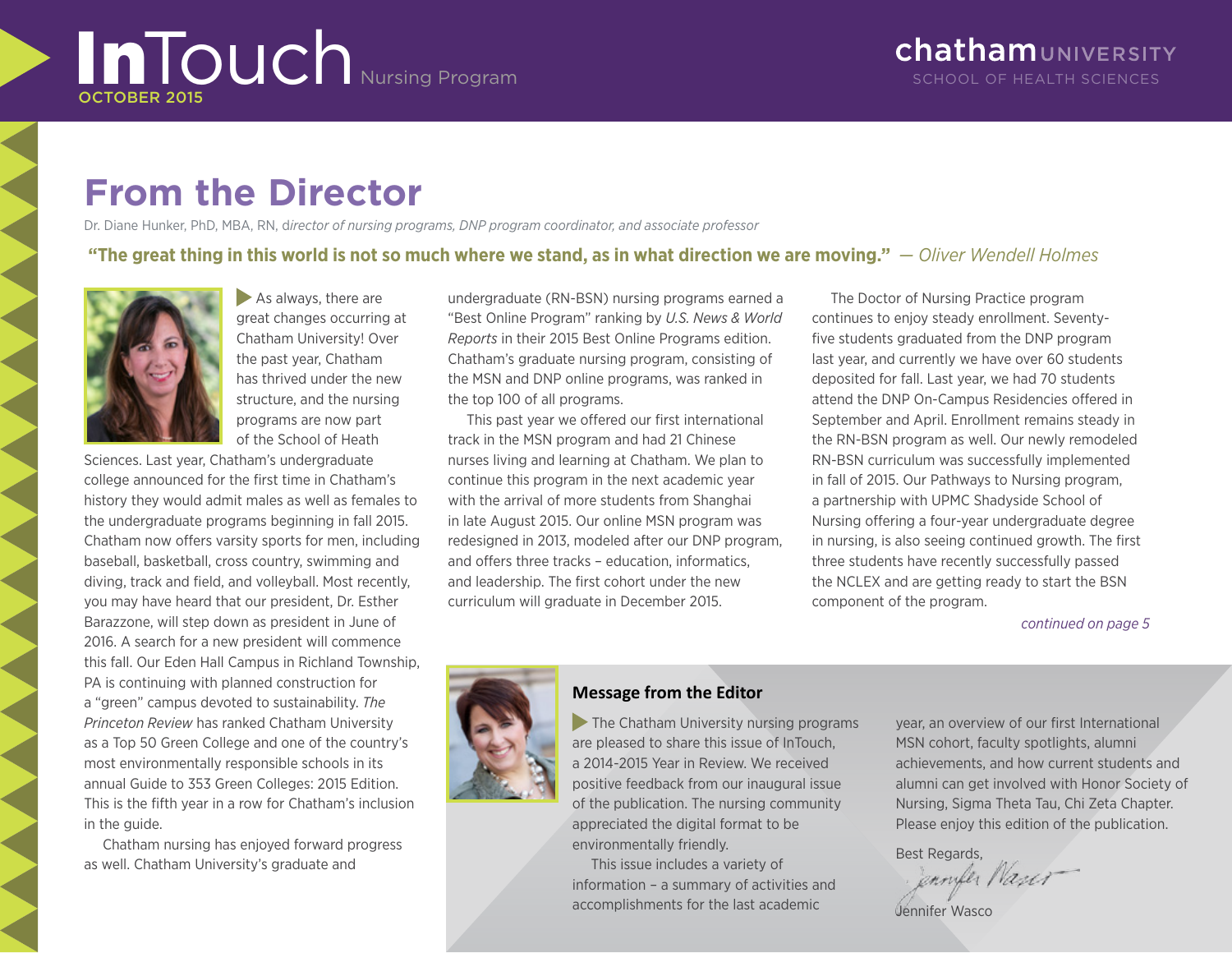# **InTouch** Nursing Program **SCHOOL OF HEALTH SCIENCES** OCTOBER 2015

# **From the Director**

Dr. Diane Hunker, PhD, MBA, RN, d*irector of nursing programs, DNP program coordinator, and associate professor*

### **"[The great thing in this world is not so much where we stand, as in what direction we are moving.](http://www.wisdomquotes.com/quote/oliver-wendell-holmes-17.html)"** *— Oliver Wendell Holmes*



As always, there are great changes occurring at Chatham University! Over the past year, Chatham has thrived under the new structure, and the nursing programs are now part of the School of Heath

Sciences. Last year, Chatham's undergraduate college announced for the first time in Chatham's history they would admit males as well as females to the undergraduate programs beginning in fall 2015. Chatham now offers varsity sports for men, including baseball, basketball, cross country, swimming and diving, track and field, and volleyball. Most recently, you may have heard that our president, Dr. Esther Barazzone, will step down as president in June of 2016. A search for a new president will commence this fall. Our Eden Hall Campus in Richland Township, PA is continuing with planned construction for a "green" campus devoted to sustainability. *The Princeton Review* has ranked Chatham University as a Top 50 Green College and one of the country's most environmentally responsible schools in its annual Guide to 353 Green Colleges: 2015 Edition. This is the fifth year in a row for Chatham's inclusion in the guide.

Chatham nursing has enjoyed forward progress as well. Chatham University's graduate and

undergraduate (RN-BSN) nursing programs earned a "Best Online Program" ranking by *U.S. News & World Reports* in their 2015 Best Online Programs edition. Chatham's graduate nursing program, consisting of the MSN and DNP online programs, was ranked in the top 100 of all programs.

This past year we offered our first international track in the MSN program and had 21 Chinese nurses living and learning at Chatham. We plan to continue this program in the next academic year with the arrival of more students from Shanghai in late August 2015. Our online MSN program was redesigned in 2013, modeled after our DNP program, and offers three tracks – education, informatics, and leadership. The first cohort under the new curriculum will graduate in December 2015.

The Doctor of Nursing Practice program continues to enjoy steady enrollment. Seventyfive students graduated from the DNP program last year, and currently we have over 60 students deposited for fall. Last year, we had 70 students attend the DNP On-Campus Residencies offered in September and April. Enrollment remains steady in the RN-BSN program as well. Our newly remodeled RN-BSN curriculum was successfully implemented in fall of 2015. Our Pathways to Nursing program, a partnership with UPMC Shadyside School of Nursing offering a four-year undergraduate degree in nursing, is also seeing continued growth. The first three students have recently successfully passed the NCLEX and are getting ready to start the BSN component of the program.

*continued on page 5*



### **Message from the Editor**

The Chatham University nursing programs are pleased to share this issue of InTouch, a 2014-2015 Year in Review. We received positive feedback from our inaugural issue of the publication. The nursing community appreciated the digital format to be environmentally friendly.

This issue includes a variety of information – a summary of activities and accomplishments for the last academic

year, an overview of our first International MSN cohort, faculty spotlights, alumni achievements, and how current students and alumni can get involved with Honor Society of Nursing, Sigma Theta Tau, Chi Zeta Chapter. Please enjoy this edition of the publication.

Best Regards,<br>*Jennyler Nauer* 

Jennifer Wasco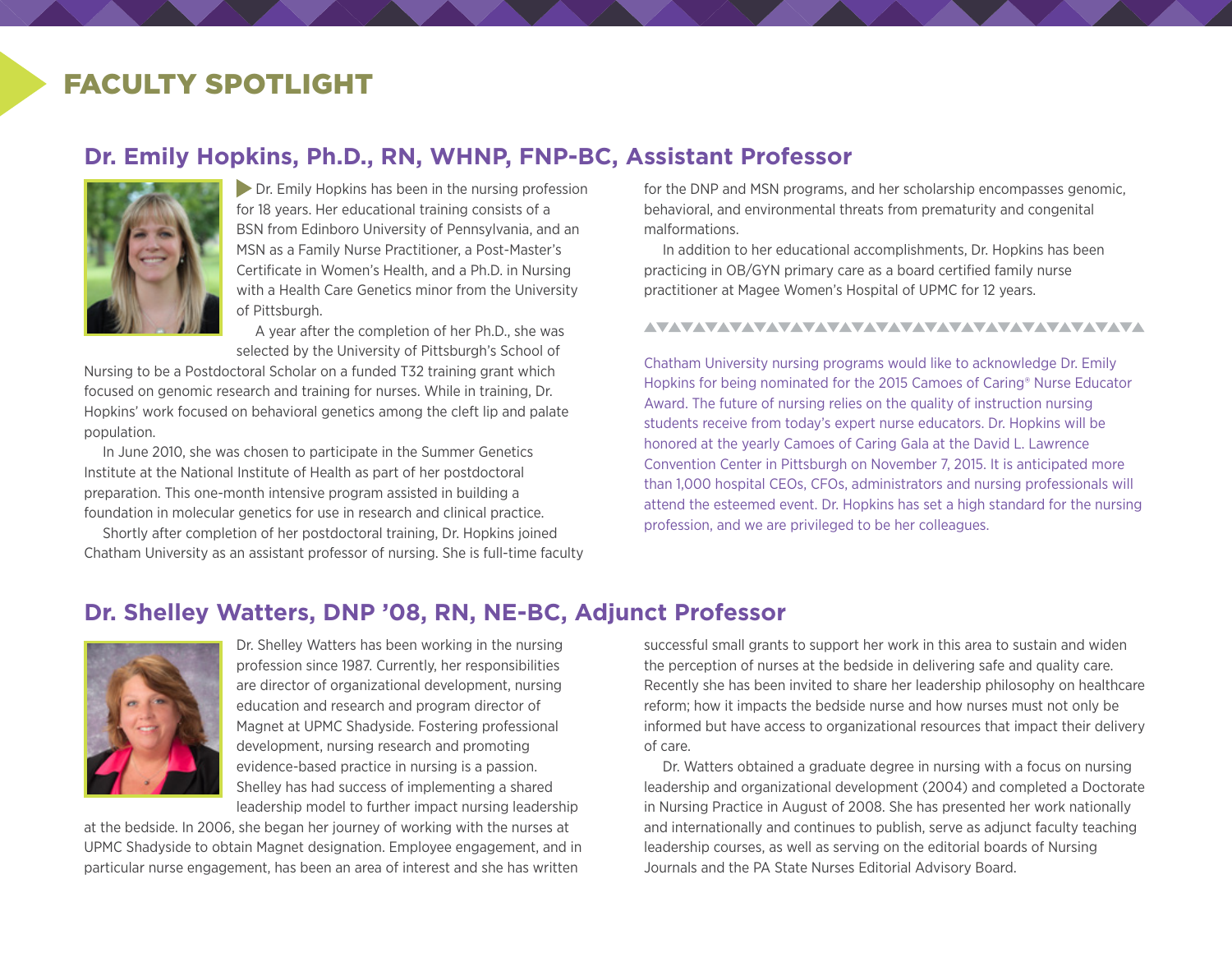# FACULTY SPOTLIGHT

### **Dr. Emily Hopkins, Ph.D., RN, WHNP, FNP-BC, Assistant Professor**



**Dr.** Emily Hopkins has been in the nursing profession for 18 years. Her educational training consists of a BSN from Edinboro University of Pennsylvania, and an MSN as a Family Nurse Practitioner, a Post-Master's Certificate in Women's Health, and a Ph.D. in Nursing with a Health Care Genetics minor from the University of Pittsburgh.

A year after the completion of her Ph.D., she was selected by the University of Pittsburgh's School of

Nursing to be a Postdoctoral Scholar on a funded T32 training grant which focused on genomic research and training for nurses. While in training, Dr. Hopkins' work focused on behavioral genetics among the cleft lip and palate population.

In June 2010, she was chosen to participate in the Summer Genetics Institute at the National Institute of Health as part of her postdoctoral preparation. This one-month intensive program assisted in building a foundation in molecular genetics for use in research and clinical practice.

Shortly after completion of her postdoctoral training, Dr. Hopkins joined Chatham University as an assistant professor of nursing. She is full-time faculty for the DNP and MSN programs, and her scholarship encompasses genomic, behavioral, and environmental threats from prematurity and congenital malformations.

In addition to her educational accomplishments, Dr. Hopkins has been practicing in OB/GYN primary care as a board certified family nurse practitioner at Magee Women's Hospital of UPMC for 12 years.

#### AVAVAVAVAVAVAVAVAVAVAVAVAVAVAVAVAVAVA

Chatham University nursing programs would like to acknowledge Dr. Emily Hopkins for being nominated for the 2015 Camoes of Caring® Nurse Educator Award. The future of nursing relies on the quality of instruction nursing students receive from today's expert nurse educators. Dr. Hopkins will be honored at the yearly Camoes of Caring Gala at the David L. Lawrence Convention Center in Pittsburgh on November 7, 2015. It is anticipated more than 1,000 hospital CEOs, CFOs, administrators and nursing professionals will attend the esteemed event. Dr. Hopkins has set a high standard for the nursing profession, and we are privileged to be her colleagues.

### **Dr. Shelley Watters, DNP '08, RN, NE-BC, Adjunct Professor**



Dr. Shelley Watters has been working in the nursing profession since 1987. Currently, her responsibilities are director of organizational development, nursing education and research and program director of Magnet at UPMC Shadyside. Fostering professional development, nursing research and promoting evidence-based practice in nursing is a passion. Shelley has had success of implementing a shared leadership model to further impact nursing leadership

at the bedside. In 2006, she began her journey of working with the nurses at UPMC Shadyside to obtain Magnet designation. Employee engagement, and in particular nurse engagement, has been an area of interest and she has written

successful small grants to support her work in this area to sustain and widen the perception of nurses at the bedside in delivering safe and quality care. Recently she has been invited to share her leadership philosophy on healthcare reform; how it impacts the bedside nurse and how nurses must not only be informed but have access to organizational resources that impact their delivery of care.

Dr. Watters obtained a graduate degree in nursing with a focus on nursing leadership and organizational development (2004) and completed a Doctorate in Nursing Practice in August of 2008. She has presented her work nationally and internationally and continues to publish, serve as adjunct faculty teaching leadership courses, as well as serving on the editorial boards of Nursing Journals and the PA State Nurses Editorial Advisory Board.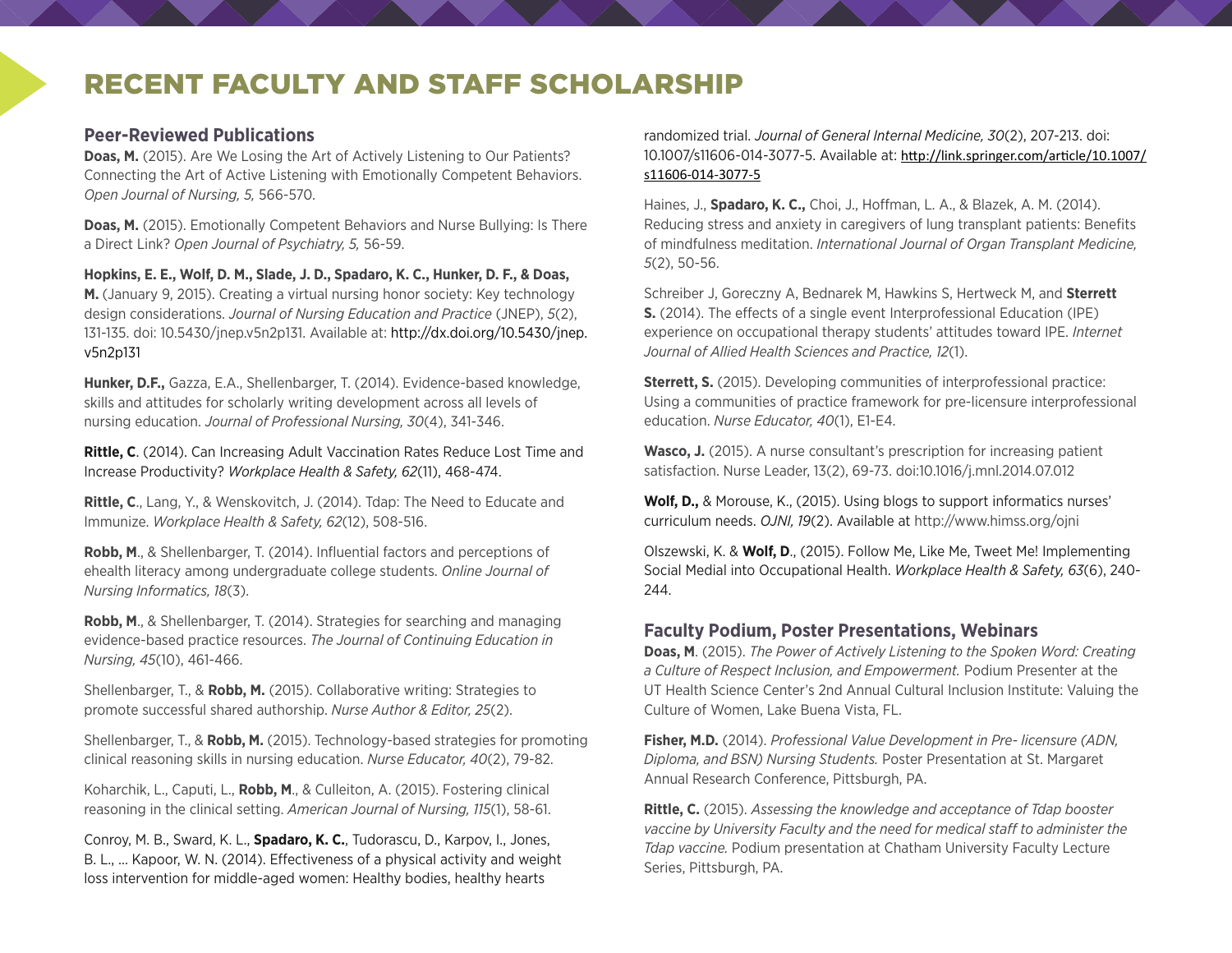# RECENT FACULTY AND STAFF SCHOLARSHIP

### **Peer-Reviewed Publications**

**Doas, M.** (2015). Are We Losing the Art of Actively Listening to Our Patients? Connecting the Art of Active Listening with Emotionally Competent Behaviors. *Open Journal of Nursing, 5,* 566-570.

**Doas, M.** (2015). Emotionally Competent Behaviors and Nurse Bullying: Is There a Direct Link? *Open Journal of Psychiatry, 5,* 56-59.

**Hopkins, E. E., Wolf, D. M., Slade, J. D., Spadaro, K. C., Hunker, D. F., & Doas,** 

**M.** (January 9, 2015). Creating a virtual nursing honor society: Key technology design considerations. *Journal of Nursing Education and Practice* (JNEP), *5*(2), 131-135. doi: 10.5430/jnep.v5n2p131. Available at: [http://dx.doi.org/10.5430/jnep.](http://dx.doi.org/10.5430/jnep.v5n2p131) [v5n2p131](http://dx.doi.org/10.5430/jnep.v5n2p131)

**Hunker, D.F.,** Gazza, E.A., Shellenbarger, T. (2014). Evidence-based knowledge, skills and attitudes for scholarly writing development across all levels of nursing education. *Journal of Professional Nursing, 30*(4), 341-346.

**Rittle, C**. (2014). Can Increasing Adult Vaccination Rates Reduce Lost Time and Increase Productivity? *Workplace Health & Safety, 62*(11), 468-474.

**Rittle, C**., Lang, Y., & Wenskovitch, J. (2014). Tdap: The Need to Educate and Immunize. *Workplace Health & Safety, 62*(12), 508-516.

**Robb, M**., & Shellenbarger, T. (2014). Influential factors and perceptions of ehealth literacy among undergraduate college students. *Online Journal of Nursing Informatics, 18*(3).

**Robb, M**., & Shellenbarger, T. (2014). Strategies for searching and managing evidence-based practice resources. *The Journal of Continuing Education in Nursing, 45*(10), 461-466.

Shellenbarger, T., & **Robb, M.** (2015). Collaborative writing: Strategies to promote successful shared authorship. *Nurse Author & Editor, 25*(2).

Shellenbarger, T., & **Robb, M.** (2015). Technology-based strategies for promoting clinical reasoning skills in nursing education. *Nurse Educator, 40*(2), 79-82.

Koharchik, L., Caputi, L., **Robb, M**., & Culleiton, A. (2015). Fostering clinical reasoning in the clinical setting. *American Journal of Nursing, 115*(1), 58-61.

Conroy, M. B., Sward, K. L., **Spadaro, K. C.**, Tudorascu, D., Karpov, I., Jones, B. L., … Kapoor, W. N. (2014). Effectiveness of a physical activity and weight loss intervention for middle-aged women: Healthy bodies, healthy hearts

randomized trial. *Journal of General Internal Medicine, 30*(2), 207-213. doi: 10.1007/s11606-014-3077-5. Available at: [http://link.springer.com/article/10.1007/](http://link.springer.com/article/10.1007/s11606-014-3077-5) [s11606-014-3077-5](http://link.springer.com/article/10.1007/s11606-014-3077-5)

Haines, J., **Spadaro, K. C.,** Choi, J., Hoffman, L. A., & Blazek, A. M. (2014). Reducing stress and anxiety in caregivers of lung transplant patients: Benefits of mindfulness meditation. *International Journal of Organ Transplant Medicine, 5*(2), 50-56.

Schreiber J, Goreczny A, Bednarek M, Hawkins S, Hertweck M, and **Sterrett S.** (2014). The effects of a single event Interprofessional Education (IPE) experience on occupational therapy students' attitudes toward IPE. *Internet Journal of Allied Health Sciences and Practice, 12*(1).

**Sterrett, S.** (2015). Developing communities of interprofessional practice: Using a communities of practice framework for pre-licensure interprofessional education. *Nurse Educator, 40*(1), E1-E4.

**Wasco, J.** (2015). A nurse consultant's prescription for increasing patient satisfaction. Nurse Leader, 13(2), 69-73. doi:10.1016/j.mnl.2014.07.012

**Wolf, D.,** & Morouse, K., (2015). Using blogs to support informatics nurses' curriculum needs. *OJNI, 19*(2). Available at <http://www.himss.org/ojni>

Olszewski, K. & **Wolf, D**., (2015). Follow Me, Like Me, Tweet Me! Implementing Social Medial into Occupational Health. *Workplace Health & Safety, 63*(6), 240- 244.

### **Faculty Podium, Poster Presentations, Webinars**

**Doas, M**. (2015). *The Power of Actively Listening to the Spoken Word: Creating a Culture of Respect Inclusion, and Empowerment.* Podium Presenter at the UT Health Science Center's 2nd Annual Cultural Inclusion Institute: Valuing the Culture of Women, Lake Buena Vista, FL.

**Fisher, M.D.** (2014). *Professional Value Development in Pre- licensure (ADN, Diploma, and BSN) Nursing Students.* Poster Presentation at St. Margaret Annual Research Conference, Pittsburgh, PA.

**Rittle, C.** (2015). *Assessing the knowledge and acceptance of Tdap booster vaccine by University Faculty and the need for medical staff to administer the Tdap vaccine.* Podium presentation at Chatham University Faculty Lecture Series, Pittsburgh, PA.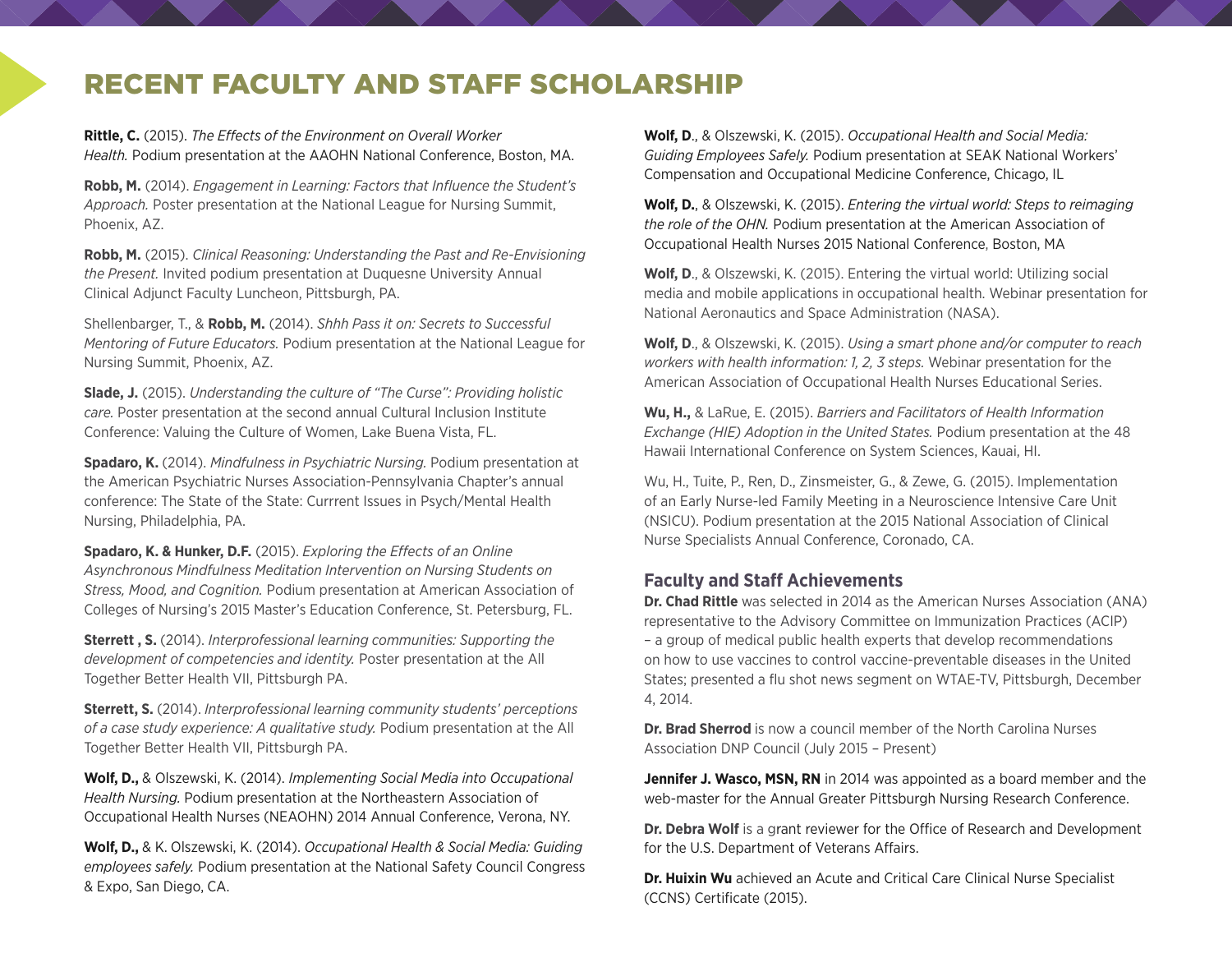# RECENT FACULTY AND STAFF SCHOLARSHIP

**Rittle, C.** (2015). *The Effects of the Environment on Overall Worker Health.* Podium presentation at the AAOHN National Conference, Boston, MA.

**Robb, M.** (2014). *Engagement in Learning: Factors that Influence the Student's Approach.* Poster presentation at the National League for Nursing Summit, Phoenix, AZ.

**Robb, M.** (2015). *Clinical Reasoning: Understanding the Past and Re-Envisioning the Present.* Invited podium presentation at Duquesne University Annual Clinical Adjunct Faculty Luncheon, Pittsburgh, PA.

Shellenbarger, T., & **Robb, M.** (2014). *Shhh Pass it on: Secrets to Successful Mentoring of Future Educators.* Podium presentation at the National League for Nursing Summit, Phoenix, AZ.

**Slade, J.** (2015). *Understanding the culture of "The Curse": Providing holistic care.* Poster presentation at the second annual Cultural Inclusion Institute Conference: Valuing the Culture of Women, Lake Buena Vista, FL.

**Spadaro, K.** (2014). *Mindfulness in Psychiatric Nursing.* Podium presentation at the American Psychiatric Nurses Association-Pennsylvania Chapter's annual conference: The State of the State: Currrent Issues in Psych/Mental Health Nursing, Philadelphia, PA.

**Spadaro, K. & Hunker, D.F.** (2015). *Exploring the Effects of an Online Asynchronous Mindfulness Meditation Intervention on Nursing Students on Stress, Mood, and Cognition.* Podium presentation at American Association of Colleges of Nursing's 2015 Master's Education Conference, St. Petersburg, FL.

**Sterrett , S.** (2014). *Interprofessional learning communities: Supporting the development of competencies and identity.* Poster presentation at the All Together Better Health VII, Pittsburgh PA.

**Sterrett, S.** (2014). *Interprofessional learning community students' perceptions of a case study experience: A qualitative study.* Podium presentation at the All Together Better Health VII, Pittsburgh PA.

**Wolf, D.,** & Olszewski, K. (2014). *Implementing Social Media into Occupational Health Nursing.* Podium presentation at the Northeastern Association of Occupational Health Nurses (NEAOHN) 2014 Annual Conference, Verona, NY.

**Wolf, D.,** & K. Olszewski, K. (2014). *Occupational Health & Social Media: Guiding employees safely.* Podium presentation at the National Safety Council Congress & Expo, San Diego, CA.

**Wolf, D**., & Olszewski, K. (2015). *Occupational Health and Social Media: Guiding Employees Safely.* Podium presentation at SEAK National Workers' Compensation and Occupational Medicine Conference, Chicago, IL

**Wolf, D.**, & Olszewski, K. (2015). *Entering the virtual world: Steps to reimaging the role of the OHN.* Podium presentation at the American Association of Occupational Health Nurses 2015 National Conference, Boston, MA

**Wolf, D**., & Olszewski, K. (2015). Entering the virtual world: Utilizing social media and mobile applications in occupational health. Webinar presentation for National Aeronautics and Space Administration (NASA).

**Wolf, D**., & Olszewski, K. (2015). *Using a smart phone and/or computer to reach workers with health information: 1, 2, 3 steps.* Webinar presentation for the American Association of Occupational Health Nurses Educational Series.

**Wu, H.,** & LaRue, E. (2015). *Barriers and Facilitators of Health Information Exchange (HIE) Adoption in the United States.* Podium presentation at the 48 Hawaii International Conference on System Sciences, Kauai, HI.

Wu, H., Tuite, P., Ren, D., Zinsmeister, G., & Zewe, G. (2015). Implementation of an Early Nurse-led Family Meeting in a Neuroscience Intensive Care Unit (NSICU). Podium presentation at the 2015 National Association of Clinical Nurse Specialists Annual Conference, Coronado, CA.

### **Faculty and Staff Achievements**

**Dr. Chad Rittle** was selected in 2014 as the American Nurses Association (ANA) representative to the Advisory Committee on Immunization Practices (ACIP) – a group of medical public health experts that develop recommendations on how to use vaccines to control vaccine-preventable diseases in the United States; presented a flu shot news segment on WTAE-TV, Pittsburgh, December 4, 2014.

**Dr. Brad Sherrod** is now a council member of the North Carolina Nurses Association DNP Council (July 2015 – Present)

**Jennifer J. Wasco, MSN, RN** in 2014 was appointed as a board member and the web-master for the Annual Greater Pittsburgh Nursing Research Conference.

**Dr. Debra Wolf** is a grant reviewer for the Office of Research and Development for the U.S. Department of Veterans Affairs.

**Dr. Huixin Wu** achieved an Acute and Critical Care Clinical Nurse Specialist (CCNS) Certificate (2015).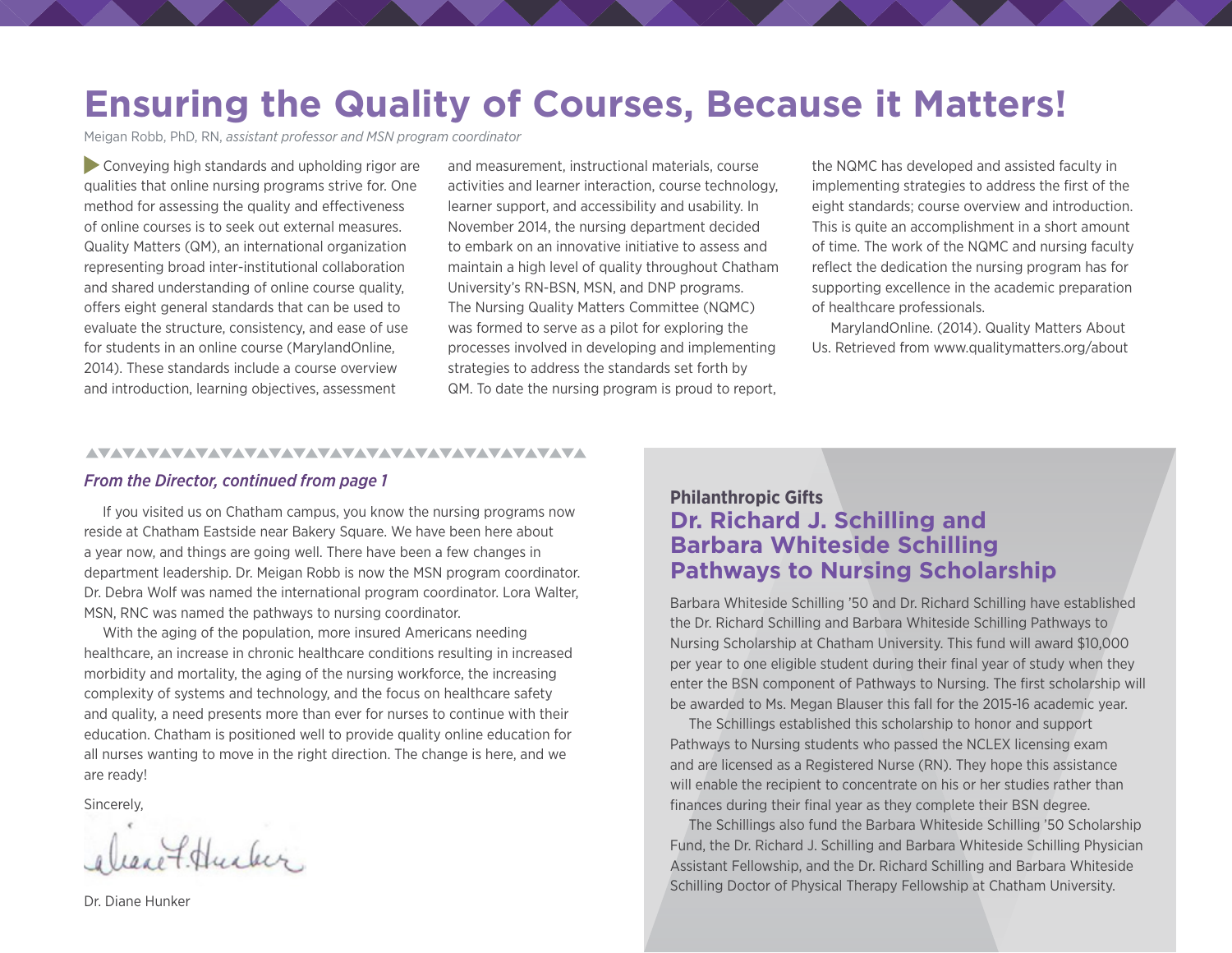# **Ensuring the Quality of Courses, Because it Matters!**

Meigan Robb, PhD, RN, *assistant professor and MSN program coordinator*

 Conveying high standards and upholding rigor are qualities that online nursing programs strive for. One method for assessing the quality and effectiveness of online courses is to seek out external measures. Quality Matters (QM), an international organization representing broad inter-institutional collaboration and shared understanding of online course quality, offers eight general standards that can be used to evaluate the structure, consistency, and ease of use for students in an online course (MarylandOnline, 2014). These standards include a course overview and introduction, learning objectives, assessment

and measurement, instructional materials, course activities and learner interaction, course technology, learner support, and accessibility and usability. In November 2014, the nursing department decided to embark on an innovative initiative to assess and maintain a high level of quality throughout Chatham University's RN-BSN, MSN, and DNP programs. The Nursing Quality Matters Committee (NQMC) was formed to serve as a pilot for exploring the processes involved in developing and implementing strategies to address the standards set forth by QM. To date the nursing program is proud to report,

the NQMC has developed and assisted faculty in implementing strategies to address the first of the eight standards; course overview and introduction. This is quite an accomplishment in a short amount of time. The work of the NQMC and nursing faculty reflect the dedication the nursing program has for supporting excellence in the academic preparation of healthcare professionals.

MarylandOnline. (2014). Quality Matters About Us. Retrieved from [www.qualitymatters.org/about](https://www.qualitymatters.org/about)

#### AVAVAVAVAVAVAVAVAVAVAVAVAVAVAVAVAVAVA

#### *From the Director, continued from page 1*

If you visited us on Chatham campus, you know the nursing programs now reside at Chatham Eastside near Bakery Square. We have been here about a year now, and things are going well. There have been a few changes in department leadership. Dr. Meigan Robb is now the MSN program coordinator. Dr. Debra Wolf was named the international program coordinator. Lora Walter, MSN, RNC was named the pathways to nursing coordinator.

With the aging of the population, more insured Americans needing healthcare, an increase in chronic healthcare conditions resulting in increased morbidity and mortality, the aging of the nursing workforce, the increasing complexity of systems and technology, and the focus on healthcare safety and quality, a need presents more than ever for nurses to continue with their education. Chatham is positioned well to provide quality online education for all nurses wanting to move in the right direction. The change is here, and we are ready!

Sincerely,

expt Husber.

Dr. Diane Hunker

### **Philanthropic Gifts Dr. Richard J. Schilling and Barbara Whiteside Schilling Pathways to Nursing Scholarship**

Barbara Whiteside Schilling '50 and Dr. Richard Schilling have established the Dr. Richard Schilling and Barbara Whiteside Schilling Pathways to Nursing Scholarship at Chatham University. This fund will award \$10,000 per year to one eligible student during their final year of study when they enter the BSN component of Pathways to Nursing. The first scholarship will be awarded to Ms. Megan Blauser this fall for the 2015-16 academic year.

The Schillings established this scholarship to honor and support Pathways to Nursing students who passed the NCLEX licensing exam and are licensed as a Registered Nurse (RN). They hope this assistance will enable the recipient to concentrate on his or her studies rather than finances during their final year as they complete their BSN degree.

The Schillings also fund the Barbara Whiteside Schilling '50 Scholarship Fund, the Dr. Richard J. Schilling and Barbara Whiteside Schilling Physician Assistant Fellowship, and the Dr. Richard Schilling and Barbara Whiteside Schilling Doctor of Physical Therapy Fellowship at Chatham University.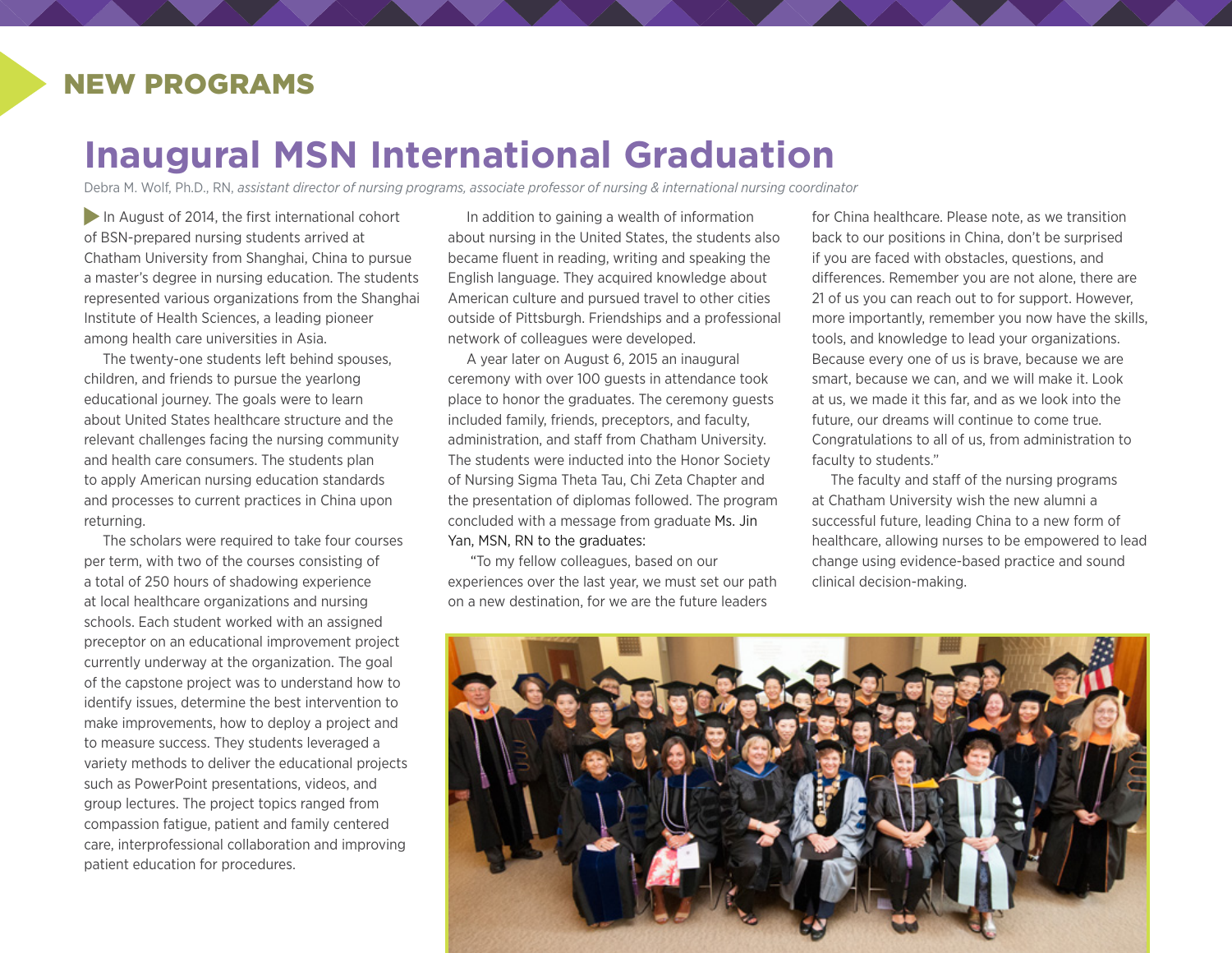## NEW PROGRAMS

# **Inaugural MSN International Graduation**

Debra M. Wolf, Ph.D., RN, *assistant director of nursing programs, associate professor of nursing & international nursing coordinator*

In August of 2014, the first international cohort of BSN-prepared nursing students arrived at Chatham University from Shanghai, China to pursue a master's degree in nursing education. The students represented various organizations from the Shanghai Institute of Health Sciences, a leading pioneer among health care universities in Asia.

The twenty-one students left behind spouses, children, and friends to pursue the yearlong educational journey. The goals were to learn about United States healthcare structure and the relevant challenges facing the nursing community and health care consumers. The students plan to apply American nursing education standards and processes to current practices in China upon returning.

The scholars were required to take four courses per term, with two of the courses consisting of a total of 250 hours of shadowing experience at local healthcare organizations and nursing schools. Each student worked with an assigned preceptor on an educational improvement project currently underway at the organization. The goal of the capstone project was to understand how to identify issues, determine the best intervention to make improvements, how to deploy a project and to measure success. They students leveraged a variety methods to deliver the educational projects such as PowerPoint presentations, videos, and group lectures. The project topics ranged from compassion fatigue, patient and family centered care, interprofessional collaboration and improving patient education for procedures.

In addition to gaining a wealth of information about nursing in the United States, the students also became fluent in reading, writing and speaking the English language. They acquired knowledge about American culture and pursued travel to other cities outside of Pittsburgh. Friendships and a professional network of colleagues were developed.

A year later on August 6, 2015 an inaugural ceremony with over 100 guests in attendance took place to honor the graduates. The ceremony guests included family, friends, preceptors, and faculty, administration, and staff from Chatham University. The students were inducted into the Honor Society of Nursing Sigma Theta Tau, Chi Zeta Chapter and the presentation of diplomas followed. The program concluded with a message from graduate Ms. Jin Yan, MSN, RN to the graduates:

 "To my fellow colleagues, based on our experiences over the last year, we must set our path on a new destination, for we are the future leaders

for China healthcare. Please note, as we transition back to our positions in China, don't be surprised if you are faced with obstacles, questions, and differences. Remember you are not alone, there are 21 of us you can reach out to for support. However, more importantly, remember you now have the skills, tools, and knowledge to lead your organizations. Because every one of us is brave, because we are smart, because we can, and we will make it. Look at us, we made it this far, and as we look into the future, our dreams will continue to come true. Congratulations to all of us, from administration to faculty to students."

The faculty and staff of the nursing programs at Chatham University wish the new alumni a successful future, leading China to a new form of healthcare, allowing nurses to be empowered to lead change using evidence-based practice and sound clinical decision-making.

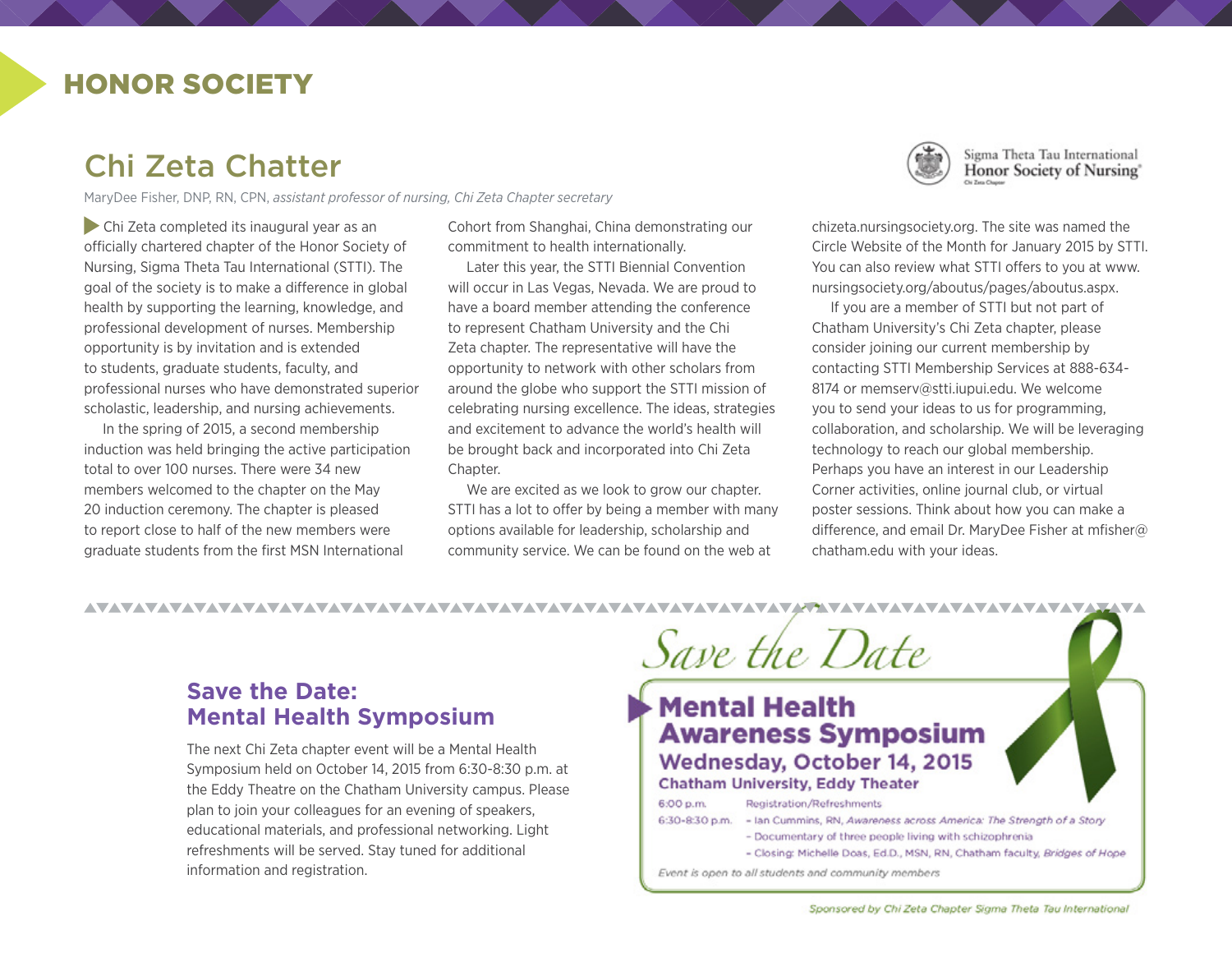## HONOR SOCIETY

# Chi Zeta Chatter

MaryDee Fisher, DNP, RN, CPN, *assistant professor of nursing, Chi Zeta Chapter secretary*

 Chi Zeta completed its inaugural year as an officially chartered chapter of the Honor Society of Nursing, Sigma Theta Tau International (STTI). The goal of the society is to make a difference in global health by supporting the learning, knowledge, and professional development of nurses. Membership opportunity is by invitation and is extended to students, graduate students, faculty, and professional nurses who have demonstrated superior scholastic, leadership, and nursing achievements.

In the spring of 2015, a second membership induction was held bringing the active participation total to over 100 nurses. There were 34 new members welcomed to the chapter on the May 20 induction ceremony. The chapter is pleased to report close to half of the new members were graduate students from the first MSN International

AVAVAVAVAVAVAVAVAVAVAVAVAVAVA

Cohort from Shanghai, China demonstrating our commitment to health internationally.

Later this year, the STTI Biennial Convention will occur in Las Vegas, Nevada. We are proud to have a board member attending the conference to represent Chatham University and the Chi Zeta chapter. The representative will have the opportunity to network with other scholars from around the globe who support the STTI mission of celebrating nursing excellence. The ideas, strategies and excitement to advance the world's health will be brought back and incorporated into Chi Zeta Chapter.

We are excited as we look to grow our chapter. STTI has a lot to offer by being a member with many options available for leadership, scholarship and community service. We can be found on the web at

**VAVAVAVAVA** 



Sigma Theta Tau International Honor Society of Nursing<sup>®</sup>

[chizeta.nursingsociety.org.](http://chizeta.nursingsociety.org/home) The site was named the Circle Website of the Month for January 2015 by STTI. You can also review what STTI offers to you at [www.](http://www.nursingsociety.org/aboutus/pages/aboutus.aspx) [nursingsociety.org/aboutus/pages/aboutus.aspx](http://www.nursingsociety.org/aboutus/pages/aboutus.aspx).

If you are a member of STTI but not part of Chatham University's Chi Zeta chapter, please consider joining our current membership by contacting STTI Membership Services at 888-634- 8174 or [memserv@stti.iupui.edu.](mailto:memserv@stti.iupui.edu) We welcome you to send your ideas to us for programming, collaboration, and scholarship. We will be leveraging technology to reach our global membership. Perhaps you have an interest in our Leadership Corner activities, online journal club, or virtual poster sessions. Think about how you can make a difference, and email Dr. MaryDee Fisher at [mfisher@](mailto:mfisher@chatham.edu) [chatham.edu](mailto:mfisher@chatham.edu) with your ideas.

### **Save the Date: Mental Health Symposium**

The next Chi Zeta chapter event will be a Mental Health Symposium held on October 14, 2015 from 6:30-8:30 p.m. at the Eddy Theatre on the Chatham University campus. Please plan to join your colleagues for an evening of speakers, educational materials, and professional networking. Light refreshments will be served. Stay tuned for additional information and registration.

Save the Date **Mental Health Awareness Symposium** Wednesday, October 14, 2015 **Chatham University, Eddy Theater** 6:00 p.m. **Registration/Refreshments** 6:30-8:30 p.m. - Ian Cummins, RN, Awareness across America: The Strength of a Story - Documentary of three people living with schizophrenia - Closing: Michelle Doas, Ed.D., MSN, RN, Chatham faculty, Bridges of Hope Event is open to all students and community members

Sponsored by Chi Zeta Chapter Sigma Theta Tau International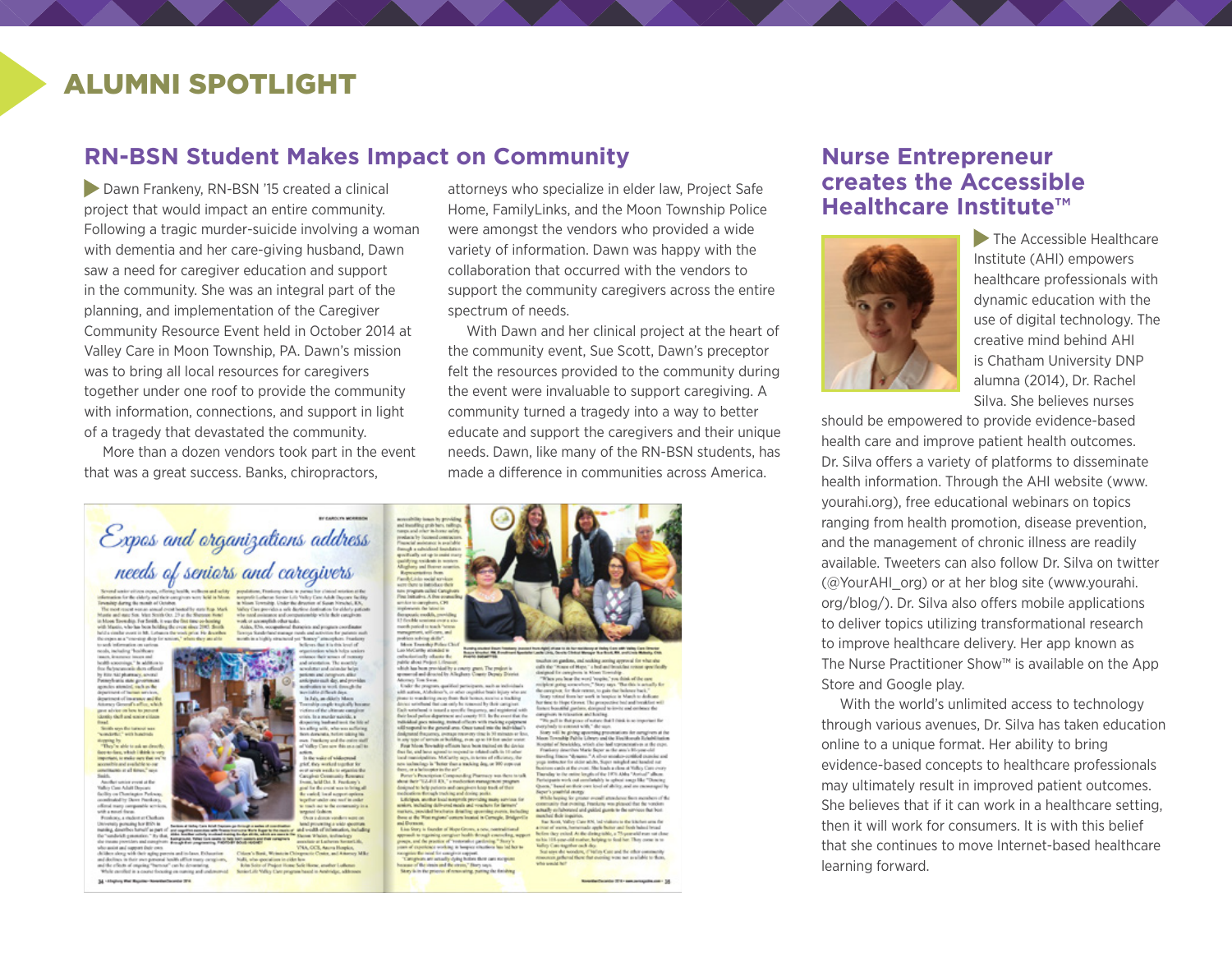## ALUMNI SPOTLIGHT

### **RN-BSN Student Makes Impact on Community**

Dawn Frankeny, RN-BSN '15 created a clinical project that would impact an entire community. Following a tragic murder-suicide involving a woman with dementia and her care-giving husband, Dawn saw a need for caregiver education and support in the community. She was an integral part of the planning, and implementation of the Caregiver Community Resource Event held in October 2014 at Valley Care in Moon Township, PA. Dawn's mission was to bring all local resources for caregivers together under one roof to provide the community with information, connections, and support in light of a tragedy that devastated the community.

More than a dozen vendors took part in the event that was a great success. Banks, chiropractors,

# Expos and organizations address needs of seniors and caregivers

populations, Frankova show is pursue for claimed as<br> $\mathbf{z}$  increased for distinct Labours forms below below that the pursue of Samuel New Yorks and the same of the same of the base of the same of the same of the same of information for the clobely and their complexes were held in Moon. The most stated means of Greater standing means  $\mathcal{O}_\mathbf{S}$  and the contribution of the state from the contribution of the state of the state of the st Monte and most four about November 2.7 or the Montese Installation of the state of the final state of the final state of the state of the state of the state of the state of the state of the state of the state of the state

sed information on sations<br>cols, including "bookboom" conor insure and<br>croings," In addition to<br>canonie alors offered by Rio Aktybanary, awazi<br>Pamphuna state geometra<br>apacks atouted such as the agencies atomics and he are the<br>department of insurance and the<br>department of insurance and the<br>Atomics General and to parent<br>dentity theft and scales clients<br>dentity theft and scales clients Smith any the turned was

"semidefiel" with hondroids<br> $\label{eq:2.1} \begin{array}{l} \mbox{``small, $m$-th model}\\ \mbox{``up, $m$''-th model}\\ \mbox{``down, $m$-th model} \end{array} \begin{array}{l} \mbox{``sub: $m$-th model}\\ \mbox{``sub: $m$-th model}\\ \mbox{``sub: $m$-th model}\\ \mbox{``sub: $m$-th model}\\ \mbox{``sub: $m$-th model}\\ \mbox{``sub: $m$-th model}\\ \mbox{``sub: $m$-th model}\\ \mbox{``sub: $m$-th model}\\ \mbox{``sub: $m$ Another service avenue at the

Valley Case Adail Depeare<br>Seelity on Chemispher Perleasy,<br>coordinated by Dever Peerskerp, dirod mary composible services<br>off a mood frame<br>Frenkoec a student of Chefforts

deid consider." By that **Self ground, Tallac Live** the music providers and manginate. Insulated anyonemy, 1981<br>who units and support their own.<br>children shop with their aping perests and in faces. It characters<br>and declines in their own personal booth afflict many complete

ad declines in their own parsonal bookh affirst many-complexes,<br>ad the effects of empring "herecon" can be demonstrag.<br>While candled in a course theoring on numing and codemonal 34 - chiptony that they rive the entrance contact 274

mains for \$100 to the mean of any counsel forms of the property and contains the second provincial problem of the second second to the second second to the second second to the second second to the second second second to seats to help but seems and their compliants

associate at Luchenne Romania<br>VNA, CCR, Anora Hospice,<br>histogramic Center, and Adversey

attorneys who specialize in elder law, Project Safe Home, FamilyLinks, and the Moon Township Police were amongst the vendors who provided a wide variety of information. Dawn was happy with the collaboration that occurred with the vendors to support the community caregivers across the entire spectrum of needs.

With Dawn and her clinical project at the heart of the community event, Sue Scott, Dawn's preceptor felt the resources provided to the community during the event were invaluable to support caregiving. A community turned a tragedy into a way to better educate and support the caregivers and their unique needs. Dawn, like many of the RN-BSN students, has made a difference in communities across America.

accounting town by provides<br>making grab here, radius<br>mango and other in boxes and<br>produces by focused contracts<br>from the matchest from the product from the space of<br>qualifying weights in under

un program saltet Caraghe<br>Frei bettudins A free scanse

nek meliti e

menth partied to teach "set

**Corp. Burger** world into social services

spaces and the states of the Alephany Gaussy Department of the Alephany Tom States.<br>Allowing Tom States, and the computation is a substitute to the property<br>space of the states and the states are phonon to the state in th reliabled gues missing, transat officers with making equipment<br>sill respond to the general area. Once tuned into the individual's

will togetheld the gamma and concern states that the first definition of the simulation of the state of the state of the state of the state of the state of the state of the state of the state of the state of the state of from , as a decomposition of contrast, and the second state is a subset of the second state  $\Delta t$  , and the second state of the second state of the second state of the second state of the second state of the second state

and Diver md Dorman.<br>Line Story is founder of Mape Grows, a new, neethed fixed

 $\begin{minipage}{0.9\textwidth} \begin{tabular}{|l|p{0.8\textwidth}|} \hline & $0.000000 & $0.000000 & $0.000000 & $0.000000 & $0.000000 & $0.000000 & $0.000000 & $0.000000 & $0.000000 & $0.000000 & $0.000000 & $0.000000 & $0.000000 & $0.000000 & $0.00000 & $0.00000 & $0.00000 & $0.00000 & $0.0000$ 

 $\label{eq:2}$  modulation gapling, and such<br>the particular corresponds to what the space of the state of the<br>particle corresponds to complete the state of the state of the<br>particle corresponds to the first controller than the topial of Spokkley, which also had upraceasives at the expe.<br>Frankery describes Marie Super as the ann's Hi-year-old Frankrey describes Warte Begre as the anni-bilinger data and the state matches that the state of the model contains and poper tensors are the state which Slagger might data has<br>the first model biling of the state which is leper's yearbilal energy.<br>While begins for grower overall attachment from members of the While hoping for granter overall structures from members of the matter of a constant  $\eta$  and the constant pressure of a smaller subdeness of a smaller of the<br>bound and guided gamma to the services that best members that

and these stapped attacks for the maintenancy or theirly films with finding Class Direction.<br>What works (this, Classific Clinder) Manager Theo Royal, Mill, and Classic Michaels, Clint

County Contribute for the Seattless and Book baland from the<br>excluded At the distinguishing a Thyseanald man sat class<br>excluded mather, helping to food her. They come in to to the property matrix the property was been been constant that the same state and the second the state constant of the second theory of the second state of the second state of the second state of the second state of the

Newthetheaster (E1) samproxyptim.com - 35

### **Nurse Entrepreneur creates the Accessible Healthcare Institute™**



The Accessible Healthcare Institute (AHI) empowers healthcare professionals with dynamic education with the use of digital technology. The creative mind behind AHI is Chatham University DNP alumna (2014), Dr. Rachel Silva. She believes nurses

should be empowered to provide evidence-based health care and improve patient health outcomes. Dr. Silva offers a variety of platforms to disseminate health information. Through the AHI website (www. yourahi.org), free educational webinars on topics ranging from health promotion, disease prevention, and the management of chronic illness are readily available. Tweeters can also follow Dr. Silva on twitter (@YourAHI\_org) or at her blog site [\(www.yourahi.](http://www.yourahi.org/blog/) [org/blog/\)](http://www.yourahi.org/blog/). Dr. Silva also offers mobile applications to deliver topics utilizing transformational research to improve healthcare delivery. Her app known as The Nurse Practitioner Show™ is available on the App Store and Google play.

With the world's unlimited access to technology through various avenues, Dr. Silva has taken education online to a unique format. Her ability to bring evidence-based concepts to healthcare professionals may ultimately result in improved patient outcomes. She believes that if it can work in a healthcare setting, then it will work for consumers. It is with this belief that she continues to move Internet-based healthcare learning forward.

en announce. acredutter and cannoter beign<br>potions: and campivors altho<br>anticipate such day, and provides modynation to work domesticity.



Aido, E%, occupational therapies and program coordinates

aways Sunday hand manager months and sure product and philosophical performance (depth and otherwise) of the first details from the  $\Gamma$ 

#### i eripanist 1<br>il. Roman and was to bring of

VIA, OCE, Anera Hopko, Color (1994), Color (1994), Color (1994), Color (1994), Color (1994), Color (1994), Color (1994), Color (1994), Color (1994), Color (1994), Color (1994), Color (1994), Color (1994), Color (1994), Col

n okina 16

**WALCOT R. Ferdiney's** called, built support options

olien which helps seniors<br>olient sensor of message<br>ontation. The monthly<br>tar and calculate below





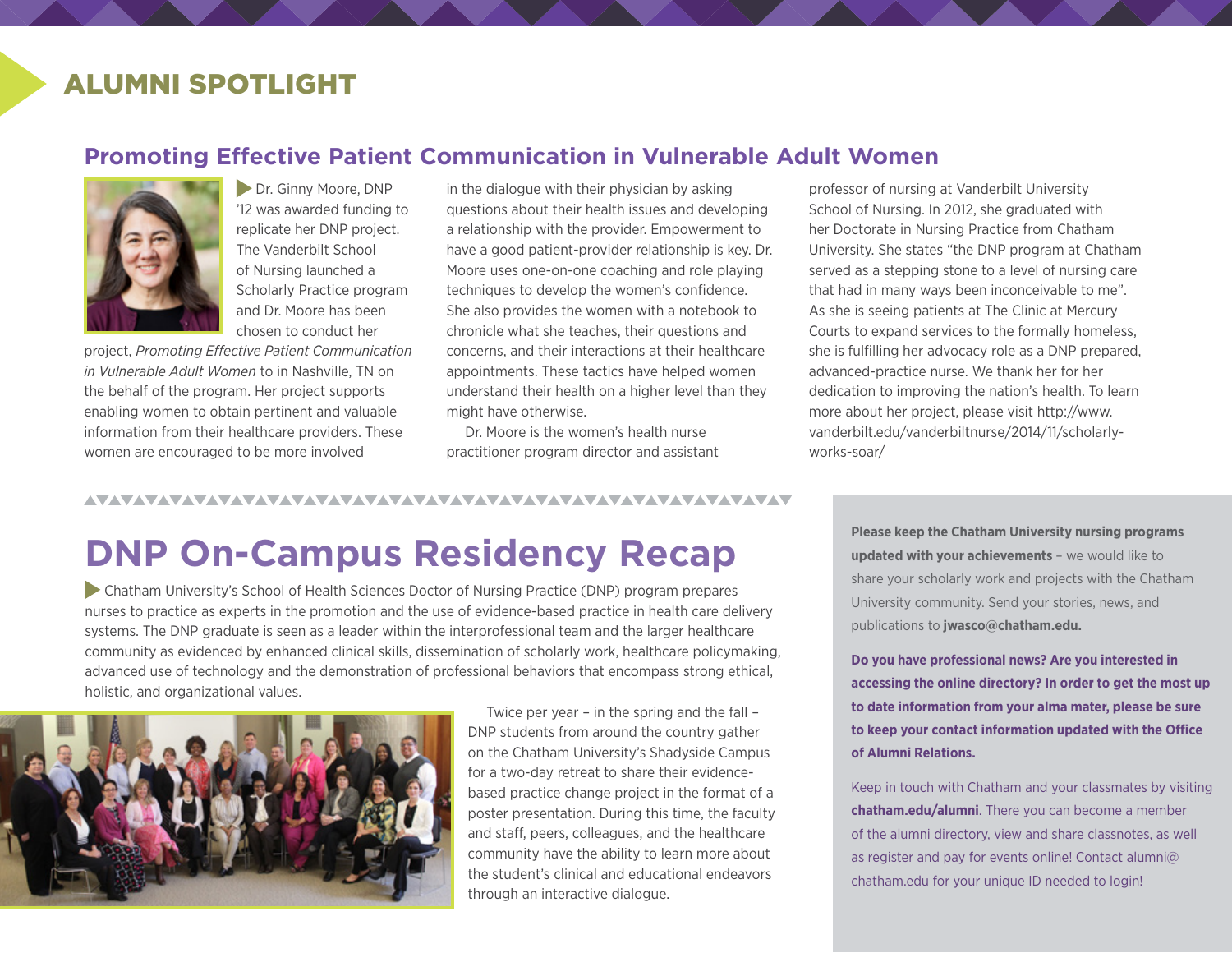## ALUMNI SPOTLIGHT

### **Promoting Effective Patient Communication in Vulnerable Adult Women**



 Dr. Ginny Moore, DNP '12 was awarded funding to replicate her DNP project. The Vanderbilt School of Nursing launched a Scholarly Practice program and Dr. Moore has been chosen to conduct her

project, *Promoting Effective Patient Communication in Vulnerable Adult Women* to in Nashville, TN on the behalf of the program. Her project supports enabling women to obtain pertinent and valuable information from their healthcare providers. These women are encouraged to be more involved

in the dialogue with their physician by asking questions about their health issues and developing a relationship with the provider. Empowerment to have a good patient-provider relationship is key. Dr. Moore uses one-on-one coaching and role playing techniques to develop the women's confidence. She also provides the women with a notebook to chronicle what she teaches, their questions and concerns, and their interactions at their healthcare appointments. These tactics have helped women understand their health on a higher level than they might have otherwise.

Dr. Moore is the women's health nurse practitioner program director and assistant

professor of nursing at Vanderbilt University School of Nursing. In 2012, she graduated with her Doctorate in Nursing Practice from Chatham University. She states "the DNP program at Chatham served as a stepping stone to a level of nursing care that had in many ways been inconceivable to me". As she is seeing patients at The Clinic at Mercury Courts to expand services to the formally homeless, she is fulfilling her advocacy role as a DNP prepared, advanced-practice nurse. We thank her for her dedication to improving the nation's health. To learn more about her project, please visit [http://www.](http://www.vanderbilt.edu/vanderbiltnurse/2014/11/scholarly-works-soar/) [vanderbilt.edu/vanderbiltnurse/2014/11/scholarly](http://www.vanderbilt.edu/vanderbiltnurse/2014/11/scholarly-works-soar/)[works-soar/](http://www.vanderbilt.edu/vanderbiltnurse/2014/11/scholarly-works-soar/)

### 

# **DNP On-Campus Residency Recap**

 Chatham University's School of Health Sciences Doctor of Nursing Practice (DNP) program prepares nurses to practice as experts in the promotion and the use of evidence-based practice in health care delivery systems. The DNP graduate is seen as a leader within the interprofessional team and the larger healthcare community as evidenced by enhanced clinical skills, dissemination of scholarly work, healthcare policymaking, advanced use of technology and the demonstration of professional behaviors that encompass strong ethical, holistic, and organizational values.



Twice per year – in the spring and the fall – DNP students from around the country gather on the Chatham University's Shadyside Campus for a two-day retreat to share their evidencebased practice change project in the format of a poster presentation. During this time, the faculty and staff, peers, colleagues, and the healthcare community have the ability to learn more about the student's clinical and educational endeavors through an interactive dialogue.

**Please keep the Chatham University nursing programs updated with your achievements** – we would like to share your scholarly work and projects with the Chatham University community. Send your stories, news, and publications to **[jwasco@chatham.edu](mailto:jwasco@chatham.edu?subject=Newsletter).**

**Do you have professional news? Are you interested in accessing the online directory? In order to get the most up to date information from your alma mater, please be sure to keep your contact information updated with the Office of Alumni Relations.**

Keep in touch with Chatham and your classmates by visiting **chatham.edu/alumni**. There you can become a member of the alumni directory, view and share classnotes, as well as register and pay for events online! Contact alumni@ chatham.edu for your unique ID needed to login!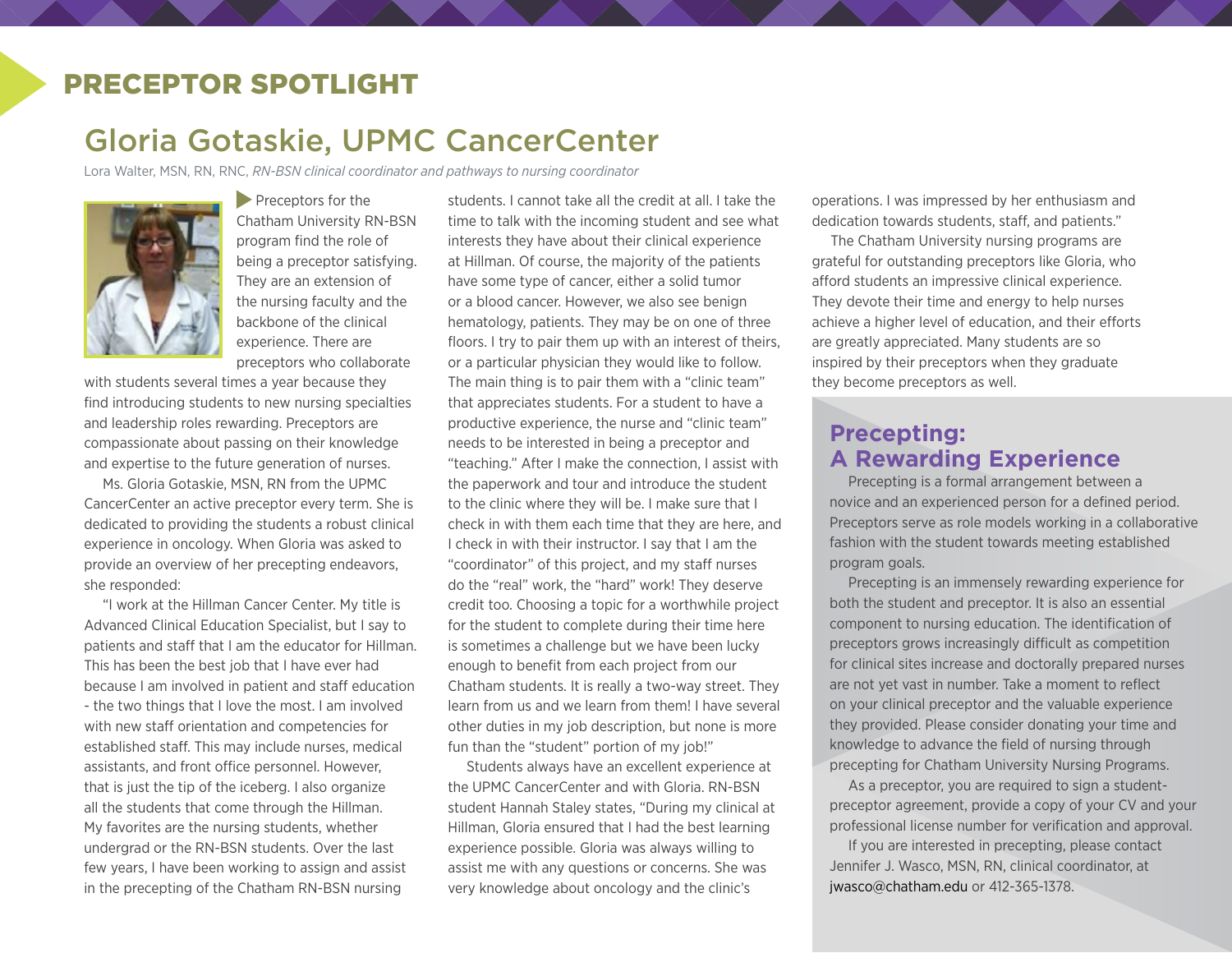## PRECEPTOR SPOTLIGHT

# Gloria Gotaskie, UPMC CancerCenter

Lora Walter, MSN, RN, RNC, *RN-BSN clinical coordinator and pathways to nursing coordinator*



Preceptors for the Chatham University RN-BSN program find the role of being a preceptor satisfying. They are an extension of the nursing faculty and the backbone of the clinical experience. There are preceptors who collaborate

with students several times a year because they find introducing students to new nursing specialties and leadership roles rewarding. Preceptors are compassionate about passing on their knowledge and expertise to the future generation of nurses.

Ms. Gloria Gotaskie, MSN, RN from the UPMC CancerCenter an active preceptor every term. She is dedicated to providing the students a robust clinical experience in oncology. When Gloria was asked to provide an overview of her precepting endeavors, she responded:

"I work at the Hillman Cancer Center. My title is Advanced Clinical Education Specialist, but I say to patients and staff that I am the educator for Hillman. This has been the best job that I have ever had because I am involved in patient and staff education - the two things that I love the most. I am involved with new staff orientation and competencies for established staff. This may include nurses, medical assistants, and front office personnel. However, that is just the tip of the iceberg. I also organize all the students that come through the Hillman. My favorites are the nursing students, whether undergrad or the RN-BSN students. Over the last few years, I have been working to assign and assist in the precepting of the Chatham RN-BSN nursing

students. I cannot take all the credit at all. I take the time to talk with the incoming student and see what interests they have about their clinical experience at Hillman. Of course, the majority of the patients have some type of cancer, either a solid tumor or a blood cancer. However, we also see benign hematology, patients. They may be on one of three floors. I try to pair them up with an interest of theirs, or a particular physician they would like to follow. The main thing is to pair them with a "clinic team" that appreciates students. For a student to have a productive experience, the nurse and "clinic team" needs to be interested in being a preceptor and "teaching." After I make the connection, I assist with the paperwork and tour and introduce the student to the clinic where they will be. I make sure that I check in with them each time that they are here, and I check in with their instructor. I say that I am the "coordinator" of this project, and my staff nurses do the "real" work, the "hard" work! They deserve credit too. Choosing a topic for a worthwhile project for the student to complete during their time here is sometimes a challenge but we have been lucky enough to benefit from each project from our Chatham students. It is really a two-way street. They learn from us and we learn from them! I have several other duties in my job description, but none is more fun than the "student" portion of my job!"

Students always have an excellent experience at the UPMC CancerCenter and with Gloria. RN-BSN student Hannah Staley states, "During my clinical at Hillman, Gloria ensured that I had the best learning experience possible. Gloria was always willing to assist me with any questions or concerns. She was very knowledge about oncology and the clinic's

operations. I was impressed by her enthusiasm and dedication towards students, staff, and patients."

The Chatham University nursing programs are grateful for outstanding preceptors like Gloria, who afford students an impressive clinical experience. They devote their time and energy to help nurses achieve a higher level of education, and their efforts are greatly appreciated. Many students are so inspired by their preceptors when they graduate they become preceptors as well.

### **Precepting: A Rewarding Experience**

Precepting is a formal arrangement between a novice and an experienced person for a defined period. Preceptors serve as role models working in a collaborative fashion with the student towards meeting established program goals.

Precepting is an immensely rewarding experience for both the student and preceptor. It is also an essential component to nursing education. The identification of preceptors grows increasingly difficult as competition for clinical sites increase and doctorally prepared nurses are not yet vast in number. Take a moment to reflect on your clinical preceptor and the valuable experience they provided. Please consider donating your time and knowledge to advance the field of nursing through precepting for Chatham University Nursing Programs.

As a preceptor, you are required to sign a studentpreceptor agreement, provide a copy of your CV and your professional license number for verification and approval.

If you are interested in precepting, please contact Jennifer J. Wasco, MSN, RN, clinical coordinator, at [jwasco@chatham.edu](mailto:jwasco@chatham.edu) or 412-365-1378.